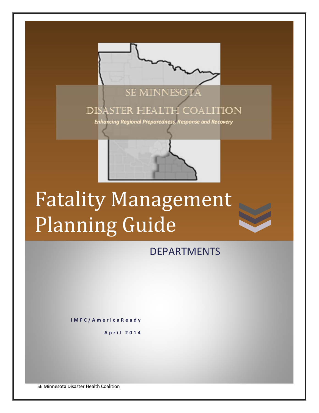

# Fatality Management Planning Guide

DEPARTMENTS

**IMFC/AmericaReady**

**April 2014**

SE Minnesota Disaster Health Coalition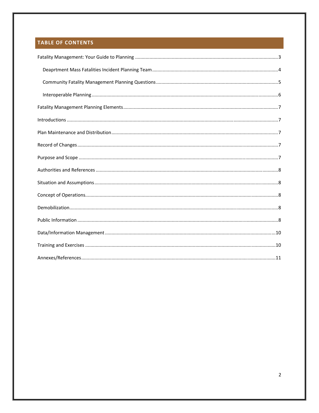# **TABLE OF CONTENTS**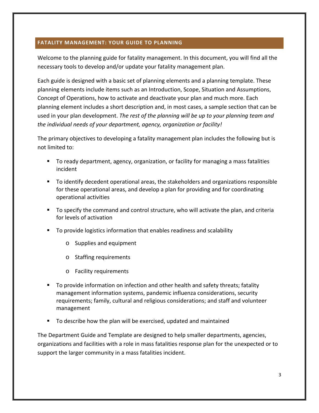#### **FATALITY MANAGEMENT: YOUR GUIDE TO PLANNING**

Welcome to the planning guide for fatality management. In this document, you will find all the necessary tools to develop and/or update your fatality management plan.

Each guide is designed with a basic set of planning elements and a planning template. These planning elements include items such as an Introduction, Scope, Situation and Assumptions, Concept of Operations, how to activate and deactivate your plan and much more. Each planning element includes a short description and, in most cases, a sample section that can be used in your plan development. *The rest of the planning will be up to your planning team and the individual needs of your department, agency, organization or facility!*

The primary objectives to developing a fatality management plan includes the following but is not limited to:

- To ready department, agency, organization, or facility for managing a mass fatalities incident
- To identify decedent operational areas, the stakeholders and organizations responsible for these operational areas, and develop a plan for providing and for coordinating operational activities
- To specify the command and control structure, who will activate the plan, and criteria for levels of activation
- To provide logistics information that enables readiness and scalability
	- o Supplies and equipment
	- o Staffing requirements
	- o Facility requirements
- To provide information on infection and other health and safety threats; fatality management information systems, pandemic influenza considerations, security requirements; family, cultural and religious considerations; and staff and volunteer management
- To describe how the plan will be exercised, updated and maintained

The Department Guide and Template are designed to help smaller departments, agencies, organizations and facilities with a role in mass fatalities response plan for the unexpected or to support the larger community in a mass fatalities incident.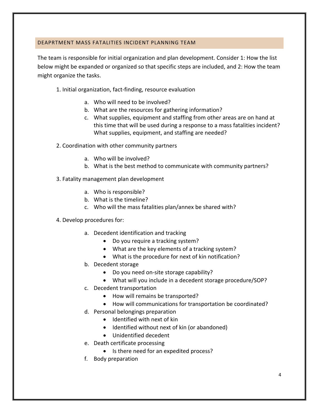#### DEAPRTMENT MASS FATALITIES INCIDENT PLANNING TEAM

The team is responsible for initial organization and plan development. Consider 1: How the list below might be expanded or organized so that specific steps are included, and 2: How the team might organize the tasks.

- 1. Initial organization, fact‐finding, resource evaluation
	- a. Who will need to be involved?
	- b. What are the resources for gathering information?
	- c. What supplies, equipment and staffing from other areas are on hand at this time that will be used during a response to a mass fatalities incident? What supplies, equipment, and staffing are needed?
- 2. Coordination with other community partners
	- a. Who will be involved?
	- b. What is the best method to communicate with community partners?
- 3. Fatality management plan development
	- a. Who is responsible?
	- b. What is the timeline?
	- c. Who will the mass fatalities plan/annex be shared with?
- 4. Develop procedures for:
	- a. Decedent identification and tracking
		- Do you require a tracking system?
		- What are the key elements of a tracking system?
		- What is the procedure for next of kin notification?
	- b. Decedent storage
		- Do you need on-site storage capability?
		- What will you include in a decedent storage procedure/SOP?
	- c. Decedent transportation
		- How will remains be transported?
		- How will communications for transportation be coordinated?
	- d. Personal belongings preparation
		- Identified with next of kin
		- Identified without next of kin (or abandoned)
		- Unidentified decedent
	- e. Death certificate processing
		- Is there need for an expedited process?
	- f. Body preparation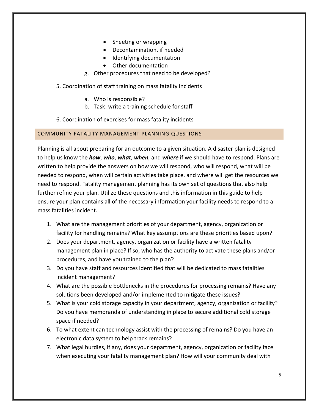- Sheeting or wrapping
- Decontamination, if needed
- Identifying documentation
- Other documentation
- g. Other procedures that need to be developed?
- 5. Coordination of staff training on mass fatality incidents
	- a. Who is responsible?
	- b. Task: write a training schedule for staff
- 6. Coordination of exercises for mass fatality incidents

## COMMUNITY FATALITY MANAGEMENT PLANNING QUESTIONS

Planning is all about preparing for an outcome to a given situation. A disaster plan is designed to help us know the *how*, *who*, *what*, *when*, and *where* if we should have to respond. Plans are written to help provide the answers on how we will respond, who will respond, what will be needed to respond, when will certain activities take place, and where will get the resources we need to respond. Fatality management planning has its own set of questions that also help further refine your plan. Utilize these questions and this information in this guide to help ensure your plan contains all of the necessary information your facility needs to respond to a mass fatalities incident.

- 1. What are the management priorities of your department, agency, organization or facility for handling remains? What key assumptions are these priorities based upon?
- 2. Does your department, agency, organization or facility have a written fatality management plan in place? If so, who has the authority to activate these plans and/or procedures, and have you trained to the plan?
- 3. Do you have staff and resources identified that will be dedicated to mass fatalities incident management?
- 4. What are the possible bottlenecks in the procedures for processing remains? Have any solutions been developed and/or implemented to mitigate these issues?
- 5. What is your cold storage capacity in your department, agency, organization or facility? Do you have memoranda of understanding in place to secure additional cold storage space if needed?
- 6. To what extent can technology assist with the processing of remains? Do you have an electronic data system to help track remains?
- 7. What legal hurdles, if any, does your department, agency, organization or facility face when executing your fatality management plan? How will your community deal with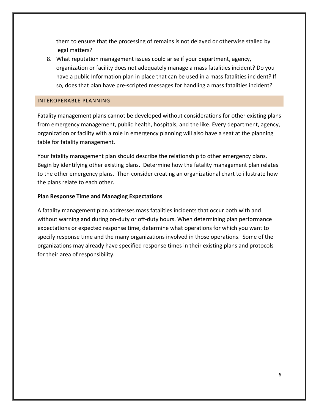them to ensure that the processing of remains is not delayed or otherwise stalled by legal matters?

8. What reputation management issues could arise if your department, agency, organization or facility does not adequately manage a mass fatalities incident? Do you have a public Information plan in place that can be used in a mass fatalities incident? If so, does that plan have pre‐scripted messages for handling a mass fatalities incident?

#### INTEROPERABLE PLANNING

Fatality management plans cannot be developed without considerations for other existing plans from emergency management, public health, hospitals, and the like. Every department, agency, organization or facility with a role in emergency planning will also have a seat at the planning table for fatality management.

Your fatality management plan should describe the relationship to other emergency plans. Begin by identifying other existing plans. Determine how the fatality management plan relates to the other emergency plans. Then consider creating an organizational chart to illustrate how the plans relate to each other.

#### **Plan Response Time and Managing Expectations**

A fatality management plan addresses mass fatalities incidents that occur both with and without warning and during on-duty or off-duty hours. When determining plan performance expectations or expected response time, determine what operations for which you want to specify response time and the many organizations involved in those operations. Some of the organizations may already have specified response times in their existing plans and protocols for their area of responsibility.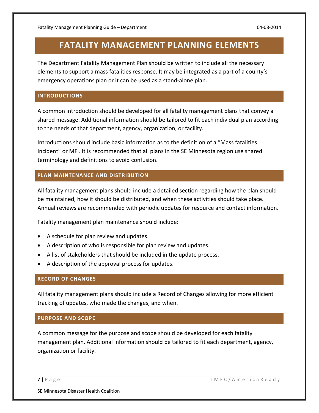# **FATALITY MANAGEMENT PLANNING ELEMENTS**

The Department Fatality Management Plan should be written to include all the necessary elements to support a mass fatalities response. It may be integrated as a part of a county's emergency operations plan or it can be used as a stand‐alone plan.

#### **INTRODUCTIONS**

A common introduction should be developed for all fatality management plans that convey a shared message. Additional information should be tailored to fit each individual plan according to the needs of that department, agency, organization, or facility.

Introductions should include basic information as to the definition of a "Mass fatalities Incident" or MFI. It is recommended that all plans in the SE Minnesota region use shared terminology and definitions to avoid confusion.

#### **PLAN MAINTENANCE AND DISTRIBUTION**

All fatality management plans should include a detailed section regarding how the plan should be maintained, how it should be distributed, and when these activities should take place. Annual reviews are recommended with periodic updates for resource and contact information.

Fatality management plan maintenance should include:

- A schedule for plan review and updates.
- A description of who is responsible for plan review and updates.
- A list of stakeholders that should be included in the update process.
- A description of the approval process for updates.

## **RECORD OF CHANGES**

All fatality management plans should include a Record of Changes allowing for more efficient tracking of updates, who made the changes, and when.

#### **PURPOSE AND SCOPE**

A common message for the purpose and scope should be developed for each fatality management plan. Additional information should be tailored to fit each department, agency, organization or facility.

**7 |** Page IMFC/AmericaReady

SE Minnesota Disaster Health Coalition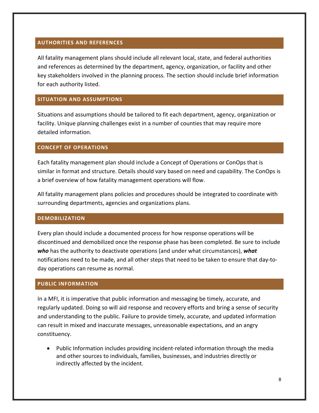#### **AUTHORITIES AND REFERENCES**

All fatality management plans should include all relevant local, state, and federal authorities and references as determined by the department, agency, organization, or facility and other key stakeholders involved in the planning process. The section should include brief information for each authority listed.

#### **SITUATION AND ASSUMPTIONS**

Situations and assumptions should be tailored to fit each department, agency, organization or facility. Unique planning challenges exist in a number of counties that may require more detailed information.

#### **CONCEPT OF OPERATIONS**

Each fatality management plan should include a Concept of Operations or ConOps that is similar in format and structure. Details should vary based on need and capability. The ConOps is a brief overview of how fatality management operations will flow.

All fatality management plans policies and procedures should be integrated to coordinate with surrounding departments, agencies and organizations plans.

#### **DEMOBILIZATION**

Every plan should include a documented process for how response operations will be discontinued and demobilized once the response phase has been completed. Be sure to include *who* has the authority to deactivate operations (and under what circumstances), *what* notifications need to be made, and all other steps that need to be taken to ensure that day‐to‐ day operations can resume as normal.

#### **PUBLIC INFORMATION**

In a MFI, it is imperative that public information and messaging be timely, accurate, and regularly updated. Doing so will aid response and recovery efforts and bring a sense of security and understanding to the public. Failure to provide timely, accurate, and updated information can result in mixed and inaccurate messages, unreasonable expectations, and an angry constituency.

● Public Information includes providing incident-related information through the media and other sources to individuals, families, businesses, and industries directly or indirectly affected by the incident.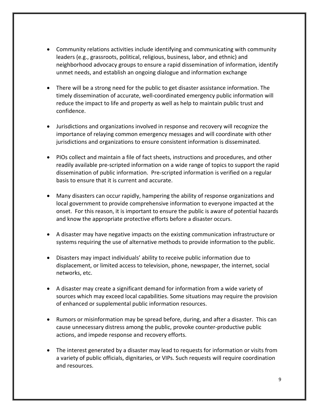- Community relations activities include identifying and communicating with community leaders (e.g., grassroots, political, religious, business, labor, and ethnic) and neighborhood advocacy groups to ensure a rapid dissemination of information, identify unmet needs, and establish an ongoing dialogue and information exchange
- There will be a strong need for the public to get disaster assistance information. The timely dissemination of accurate, well‐coordinated emergency public information will reduce the impact to life and property as well as help to maintain public trust and confidence.
- Jurisdictions and organizations involved in response and recovery will recognize the importance of relaying common emergency messages and will coordinate with other jurisdictions and organizations to ensure consistent information is disseminated.
- PIOs collect and maintain a file of fact sheets, instructions and procedures, and other readily available pre‐scripted information on a wide range of topics to support the rapid dissemination of public information. Pre‐scripted information is verified on a regular basis to ensure that it is current and accurate.
- Many disasters can occur rapidly, hampering the ability of response organizations and local government to provide comprehensive information to everyone impacted at the onset. For this reason, it is important to ensure the public is aware of potential hazards and know the appropriate protective efforts before a disaster occurs.
- A disaster may have negative impacts on the existing communication infrastructure or systems requiring the use of alternative methods to provide information to the public.
- Disasters may impact individuals' ability to receive public information due to displacement, or limited access to television, phone, newspaper, the internet, social networks, etc.
- A disaster may create a significant demand for information from a wide variety of sources which may exceed local capabilities. Some situations may require the provision of enhanced or supplemental public information resources.
- Rumors or misinformation may be spread before, during, and after a disaster. This can cause unnecessary distress among the public, provoke counter‐productive public actions, and impede response and recovery efforts.
- The interest generated by a disaster may lead to requests for information or visits from a variety of public officials, dignitaries, or VIPs. Such requests will require coordination and resources.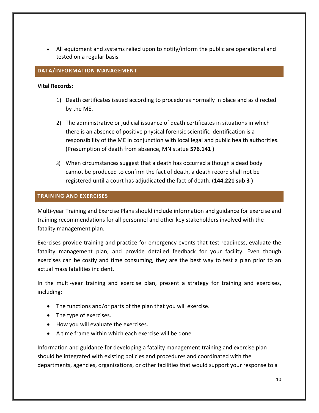All equipment and systems relied upon to notify/inform the public are operational and tested on a regular basis.

#### **DATA/INFORMATION MANAGEMENT**

#### **Vital Records:**

- 1) Death certificates issued according to procedures normally in place and as directed by the ME.
- 2) The administrative or judicial issuance of death certificates in situations in which there is an absence of positive physical forensic scientific identification is a responsibility of the ME in conjunction with local legal and public health authorities. (Presumption of death from absence, MN statue **576.141 )**
- 3) When circumstances suggest that a death has occurred although a dead body cannot be produced to confirm the fact of death, a death record shall not be registered until a court has adjudicated the fact of death. (**144.221 sub 3 )**

#### **TRAINING AND EXERCISES**

Multi‐year Training and Exercise Plans should include information and guidance for exercise and training recommendations for all personnel and other key stakeholders involved with the fatality management plan.

Exercises provide training and practice for emergency events that test readiness, evaluate the fatality management plan, and provide detailed feedback for your facility. Even though exercises can be costly and time consuming, they are the best way to test a plan prior to an actual mass fatalities incident.

In the multi-year training and exercise plan, present a strategy for training and exercises, including:

- The functions and/or parts of the plan that you will exercise.
- The type of exercises.
- How you will evaluate the exercises.
- A time frame within which each exercise will be done

Information and guidance for developing a fatality management training and exercise plan should be integrated with existing policies and procedures and coordinated with the departments, agencies, organizations, or other facilities that would support your response to a